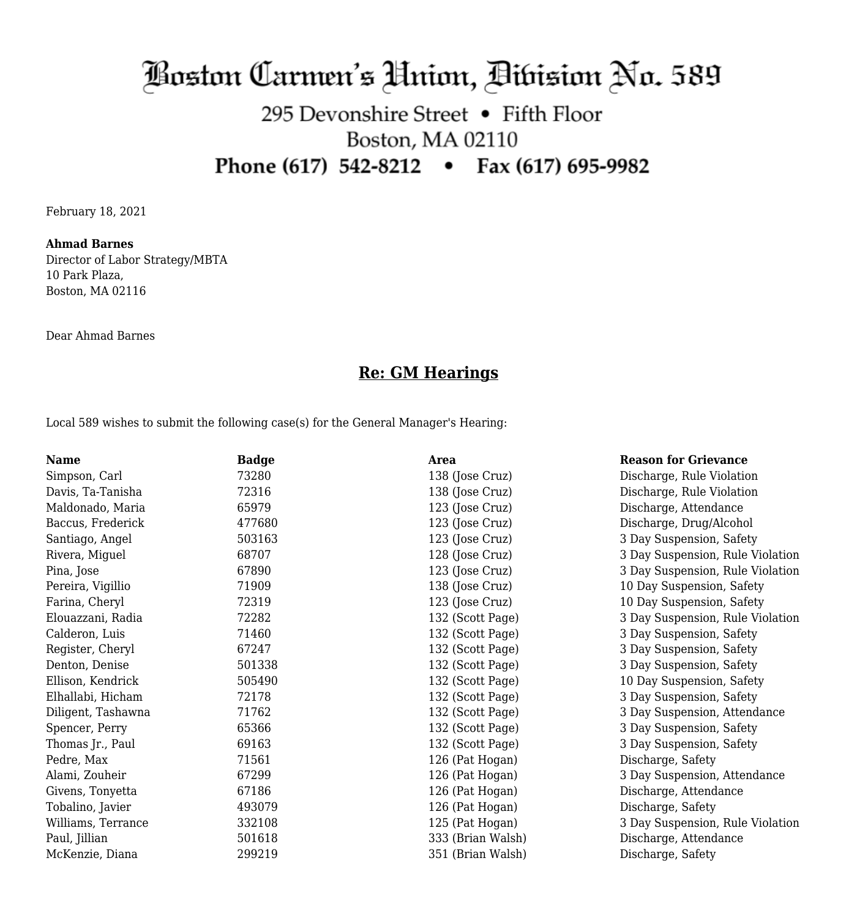# Boston Carmen's Hnion, Dibision No. 589

## 295 Devonshire Street • Fifth Floor Boston, MA 02110 Phone (617) 542-8212 • Fax (617) 695-9982

February 18, 2021

#### **Ahmad Barnes**

Director of Labor Strategy/MBTA 10 Park Plaza, Boston, MA 02116

Dear Ahmad Barnes

### **Re: GM Hearings**

Local 589 wishes to submit the following case(s) for the General Manager's Hearing:

| <b>Name</b>        | <b>Badge</b> | <b>Area</b>       | <b>Reason for Grievance</b>      |
|--------------------|--------------|-------------------|----------------------------------|
| Simpson, Carl      | 73280        | 138 (Jose Cruz)   | Discharge, Rule Violation        |
| Davis, Ta-Tanisha  | 72316        | 138 (Jose Cruz)   | Discharge, Rule Violation        |
| Maldonado, Maria   | 65979        | 123 (Jose Cruz)   | Discharge, Attendance            |
| Baccus, Frederick  | 477680       | 123 (Jose Cruz)   | Discharge, Drug/Alcohol          |
| Santiago, Angel    | 503163       | 123 (Jose Cruz)   | 3 Day Suspension, Safety         |
| Rivera, Miguel     | 68707        | 128 (Jose Cruz)   | 3 Day Suspension, Rule Violation |
| Pina, Jose         | 67890        | 123 (Jose Cruz)   | 3 Day Suspension, Rule Violation |
| Pereira, Vigillio  | 71909        | 138 (Jose Cruz)   | 10 Day Suspension, Safety        |
| Farina, Cheryl     | 72319        | 123 (Jose Cruz)   | 10 Day Suspension, Safety        |
| Elouazzani, Radia  | 72282        | 132 (Scott Page)  | 3 Day Suspension, Rule Violation |
| Calderon, Luis     | 71460        | 132 (Scott Page)  | 3 Day Suspension, Safety         |
| Register, Cheryl   | 67247        | 132 (Scott Page)  | 3 Day Suspension, Safety         |
| Denton, Denise     | 501338       | 132 (Scott Page)  | 3 Day Suspension, Safety         |
| Ellison, Kendrick  | 505490       | 132 (Scott Page)  | 10 Day Suspension, Safety        |
| Elhallabi, Hicham  | 72178        | 132 (Scott Page)  | 3 Day Suspension, Safety         |
| Diligent, Tashawna | 71762        | 132 (Scott Page)  | 3 Day Suspension, Attendance     |
| Spencer, Perry     | 65366        | 132 (Scott Page)  | 3 Day Suspension, Safety         |
| Thomas Jr., Paul   | 69163        | 132 (Scott Page)  | 3 Day Suspension, Safety         |
| Pedre, Max         | 71561        | 126 (Pat Hogan)   | Discharge, Safety                |
| Alami, Zouheir     | 67299        | 126 (Pat Hogan)   | 3 Day Suspension, Attendance     |
| Givens, Tonyetta   | 67186        | 126 (Pat Hogan)   | Discharge, Attendance            |
| Tobalino, Javier   | 493079       | 126 (Pat Hogan)   | Discharge, Safety                |
| Williams, Terrance | 332108       | 125 (Pat Hogan)   | 3 Day Suspension, Rule Violation |
| Paul, Jillian      | 501618       | 333 (Brian Walsh) | Discharge, Attendance            |
| McKenzie, Diana    | 299219       | 351 (Brian Walsh) | Discharge, Safety                |